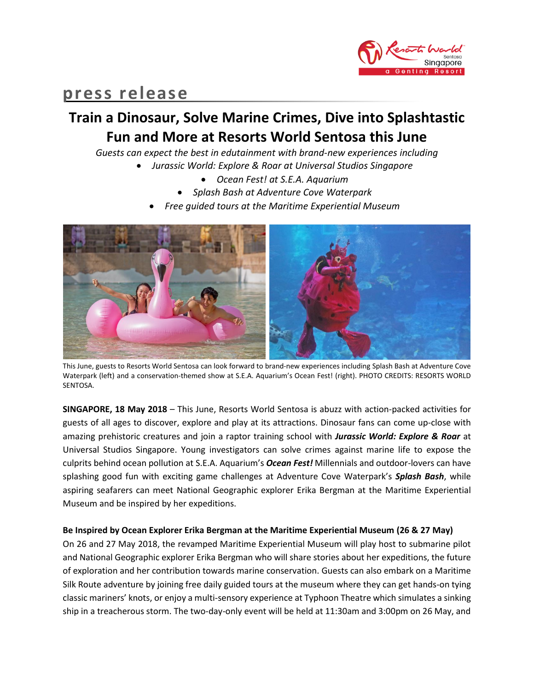

# **press release**

# **Train a Dinosaur, Solve Marine Crimes, Dive into Splashtastic Fun and More at Resorts World Sentosa this June**

*Guests can expect the best in edutainment with brand-new experiences including*

- *Jurassic World: Explore & Roar at Universal Studios Singapore*
	- *Ocean Fest! at S.E.A. Aquarium*
	- *Splash Bash at Adventure Cove Waterpark*
	- *Free guided tours at the Maritime Experiential Museum*



This June, guests to Resorts World Sentosa can look forward to brand-new experiences including Splash Bash at Adventure Cove Waterpark (left) and a conservation-themed show at S.E.A. Aquarium's Ocean Fest! (right). PHOTO CREDITS: RESORTS WORLD SENTOSA.

**SINGAPORE, 18 May 2018** – This June, Resorts World Sentosa is abuzz with action-packed activities for guests of all ages to discover, explore and play at its attractions. Dinosaur fans can come up-close with amazing prehistoric creatures and join a raptor training school with *Jurassic World: Explore & Roar* at Universal Studios Singapore. Young investigators can solve crimes against marine life to expose the culprits behind ocean pollution at S.E.A. Aquarium's *Ocean Fest!* Millennials and outdoor-lovers can have splashing good fun with exciting game challenges at Adventure Cove Waterpark's *Splash Bash*, while aspiring seafarers can meet National Geographic explorer Erika Bergman at the Maritime Experiential Museum and be inspired by her expeditions.

# **Be Inspired by Ocean Explorer Erika Bergman at the Maritime Experiential Museum (26 & 27 May)**

On 26 and 27 May 2018, the revamped Maritime Experiential Museum will play host to submarine pilot and National Geographic explorer Erika Bergman who will share stories about her expeditions, the future of exploration and her contribution towards marine conservation. Guests can also embark on a Maritime Silk Route adventure by joining free daily guided tours at the museum where they can get hands-on tying classic mariners' knots, or enjoy a multi-sensory experience at Typhoon Theatre which simulates a sinking ship in a treacherous storm. The two-day-only event will be held at 11:30am and 3:00pm on 26 May, and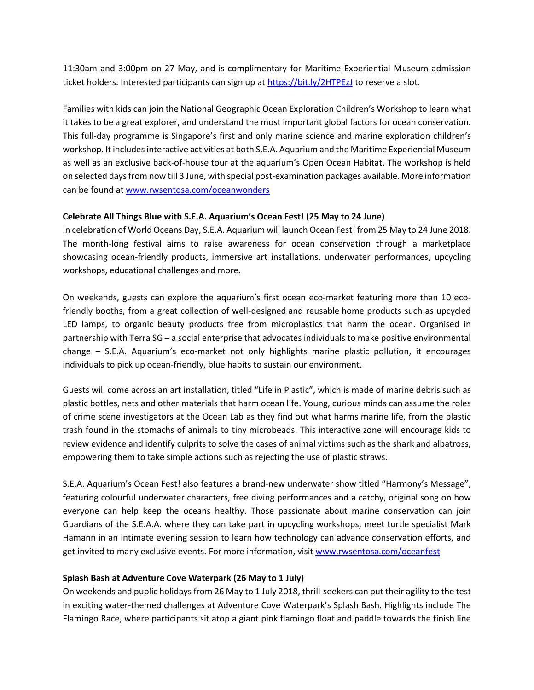11:30am and 3:00pm on 27 May, and is complimentary for Maritime Experiential Museum admission ticket holders. Interested participants can sign up a[t https://bit.ly/2HTPEzJ](https://bit.ly/2HTPEzJ) to reserve a slot.

Families with kids can join the National Geographic Ocean Exploration Children's Workshop to learn what it takes to be a great explorer, and understand the most important global factors for ocean conservation. This full-day programme is Singapore's first and only marine science and marine exploration children's workshop. It includes interactive activities at both S.E.A. Aquarium and the Maritime Experiential Museum as well as an exclusive back-of-house tour at the aquarium's Open Ocean Habitat. The workshop is held on selected days from now till 3 June, with special post-examination packages available. More information can be found at [www.rwsentosa.com/oceanwonders](http://www.rwsentosa.com/oceanwonders)

# **Celebrate All Things Blue with S.E.A. Aquarium's Ocean Fest! (25 May to 24 June)**

In celebration of World Oceans Day, S.E.A. Aquarium will launch Ocean Fest! from 25 May to 24 June 2018. The month-long festival aims to raise awareness for ocean conservation through a marketplace showcasing ocean-friendly products, immersive art installations, underwater performances, upcycling workshops, educational challenges and more.

On weekends, guests can explore the aquarium's first ocean eco-market featuring more than 10 ecofriendly booths, from a great collection of well-designed and reusable home products such as upcycled LED lamps, to organic beauty products free from microplastics that harm the ocean. Organised in partnership with Terra SG – a social enterprise that advocates individuals to make positive environmental change – S.E.A. Aquarium's eco-market not only highlights marine plastic pollution, it encourages individuals to pick up ocean-friendly, blue habits to sustain our environment.

Guests will come across an art installation, titled "Life in Plastic", which is made of marine debris such as plastic bottles, nets and other materials that harm ocean life. Young, curious minds can assume the roles of crime scene investigators at the Ocean Lab as they find out what harms marine life, from the plastic trash found in the stomachs of animals to tiny microbeads. This interactive zone will encourage kids to review evidence and identify culprits to solve the cases of animal victims such as the shark and albatross, empowering them to take simple actions such as rejecting the use of plastic straws.

S.E.A. Aquarium's Ocean Fest! also features a brand-new underwater show titled "Harmony's Message", featuring colourful underwater characters, free diving performances and a catchy, original song on how everyone can help keep the oceans healthy. Those passionate about marine conservation can join Guardians of the S.E.A.A. where they can take part in upcycling workshops, meet turtle specialist Mark Hamann in an intimate evening session to learn how technology can advance conservation efforts, and get invited to many exclusive events. For more information, visi[t www.rwsentosa.com/oceanf](http://www.rwsentosa.com/oceanfest)est

# **Splash Bash at Adventure Cove Waterpark (26 May to 1 July)**

On weekends and public holidays from 26 May to 1 July 2018, thrill-seekers can put their agility to the test in exciting water-themed challenges at Adventure Cove Waterpark's Splash Bash. Highlights include The Flamingo Race, where participants sit atop a giant pink flamingo float and paddle towards the finish line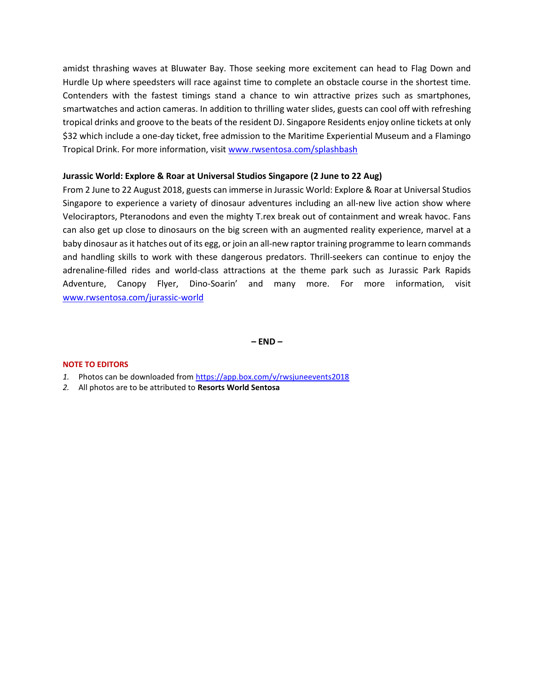amidst thrashing waves at Bluwater Bay. Those seeking more excitement can head to Flag Down and Hurdle Up where speedsters will race against time to complete an obstacle course in the shortest time. Contenders with the fastest timings stand a chance to win attractive prizes such as smartphones, smartwatches and action cameras. In addition to thrilling water slides, guests can cool off with refreshing tropical drinks and groove to the beats of the resident DJ. Singapore Residents enjoy online tickets at only \$32 which include a one-day ticket, free admission to the Maritime Experiential Museum and a Flamingo Tropical Drink. For more information, visit [www.rwsentosa.com/splashbash](http://www.rwsentosa.com/splashbash)

## **Jurassic World: Explore & Roar at Universal Studios Singapore (2 June to 22 Aug)**

From 2 June to 22 August 2018, guests can immerse in Jurassic World: Explore & Roar at Universal Studios Singapore to experience a variety of dinosaur adventures including an all-new live action show where Velociraptors, Pteranodons and even the mighty T.rex break out of containment and wreak havoc. Fans can also get up close to dinosaurs on the big screen with an augmented reality experience, marvel at a baby dinosaur as it hatches out of its egg, or join an all-new raptor training programme to learn commands and handling skills to work with these dangerous predators. Thrill-seekers can continue to enjoy the adrenaline-filled rides and world-class attractions at the theme park such as Jurassic Park Rapids Adventure, Canopy Flyer, Dino-Soarin' and many more. For more information, visit [www.rwsentosa.com/jurassic-world](http://www.rwsentosa.com/jurassic-world)

**– END –**

### **NOTE TO EDITORS**

- *1.* Photos can be downloaded fro[m https://app.box.com/v/rwsjuneevents2018](https://app.box.com/v/rwsjuneevents2018)
- *2.* All photos are to be attributed to **Resorts World Sentosa**